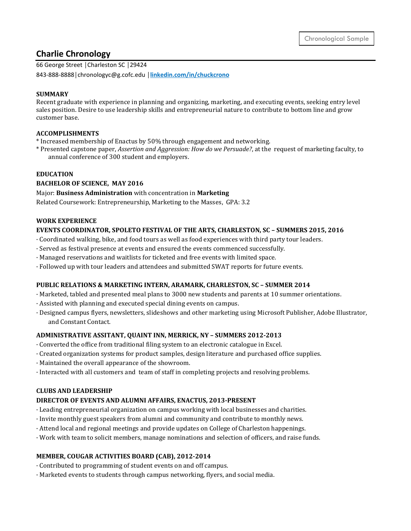# **Charlie Chronology**

66 George Street │Charleston SC │29424

843-888-8888│chronologyc@g.cofc.edu │**linkedin.com/in/chuckcrono**

### **SUMMARY**

Recent graduate with experience in planning and organizing, marketing, and executing events, seeking entry level sales position. Desire to use leadership skills and entrepreneurial nature to contribute to bottom line and grow customer base.

### **ACCOMPLISHMENTS**

\* Increased membership of Enactus by 50% through engagement and networking.

\* Presented capstone paper, *Assertion and Aggression: How do we Persuade?*, at the request of marketing faculty, to annual conference of 300 student and employers.

### **EDUCATION**

### **BACHELOR OF SCIENCE, MAY 2016**

Major: **Business Administration** with concentration in **Marketing**

Related Coursework: Entrepreneurship, Marketing to the Masses, GPA: 3.2

# **WORK EXPERIENCE**

### **EVENTS COORDINATOR, SPOLETO FESTIVAL OF THE ARTS, CHARLESTON, SC – SUMMERS 2015, 2016**

- · Coordinated walking, bike, and food tours as well as food experiences with third party tour leaders.
- · Served as festival presence at events and ensured the events commenced successfully.
- · Managed reservations and waitlists for ticketed and free events with limited space.
- · Followed up with tour leaders and attendees and submitted SWAT reports for future events.

#### **PUBLIC RELATIONS & MARKETING INTERN, ARAMARK, CHARLESTON, SC – SUMMER 2014**

- · Marketed, tabled and presented meal plans to 3000 new students and parents at 10 summer orientations.
- · Assisted with planning and executed special dining events on campus.
- · Designed campus flyers, newsletters, slideshows and other marketing using Microsoft Publisher, Adobe Illustrator, and Constant Contact.

#### **ADMINISTRATIVE ASSITANT, QUAINT INN, MERRICK, NY – SUMMERS 2012-2013**

- · Converted the office from traditional filing system to an electronic catalogue in Excel.
- · Created organization systems for product samples, design literature and purchased office supplies.
- · Maintained the overall appearance of the showroom.
- · Interacted with all customers and team of staff in completing projects and resolving problems.

#### **CLUBS AND LEADERSHIP**

#### **DIRECTOR OF EVENTS AND ALUMNI AFFAIRS, ENACTUS, 2013-PRESENT**

- · Leading entrepreneurial organization on campus working with local businesses and charities.
- · Invite monthly guest speakers from alumni and community and contribute to monthly news.
- · Attend local and regional meetings and provide updates on College of Charleston happenings.
- · Work with team to solicit members, manage nominations and selection of officers, and raise funds.

#### **MEMBER, COUGAR ACTIVITIES BOARD (CAB), 2012-2014**

- · Contributed to programming of student events on and off campus.
- · Marketed events to students through campus networking, flyers, and social media.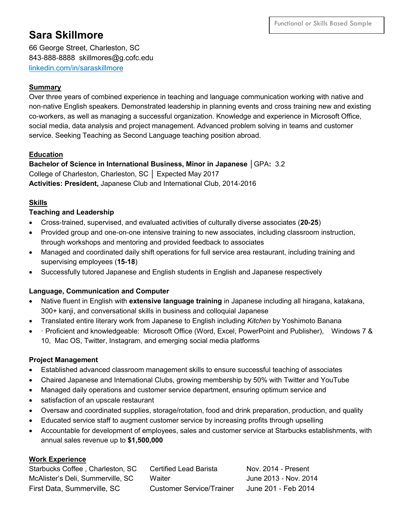# **Sara Skillmore**

66 George Street, Charleston, SC 843-888-8888 skillmores@g.cofc.edu linkedin.com/in/saraskillmore

# **Summary**

Over three years of combined experience in teaching and language communication working with native and non-native English speakers. Demonstrated leadership in planning events and cross training new and existing co-workers, as well as managing a successful organization. Knowledge and experience in Microsoft Office, social media, data analysis and project management. Advanced problem solving in teams and customer service. Seeking Teaching as Second Language teaching position abroad.

# **Education**

**Bachelor of Science in International Business, Minor in Japanese** │GPA**:** 3.2 College of Charleston, Charleston, SC │ Expected May 2017 **Activities: President,** Japanese Club and International Club, 2014-2016

# **Skills**

# **Teaching and Leadership**

- Cross-trained, supervised, and evaluated activities of culturally diverse associates (**20-25**)
- Provided group and one-on-one intensive training to new associates, including classroom instruction, through workshops and mentoring and provided feedback to associates
- Managed and coordinated daily shift operations for full service area restaurant, including training and supervising employees (**15-18**)
- Successfully tutored Japanese and English students in English and Japanese respectively

# **Language, Communication and Computer**

- Native fluent in English with **extensive language training** in Japanese including all hiragana, katakana, 300+ kanji, and conversational skills in business and colloquial Japanese
- Translated entire literary work from Japanese to English including *Kitchen* by Yoshimoto Banana
- · Proficient and knowledgeable: Microsoft Office (Word, Excel, PowerPoint and Publisher), Windows 7 & 10, Mac OS, Twitter, Instagram, and emerging social media platforms

# **Project Management**

- Established advanced classroom management skills to ensure successful teaching of associates
- Chaired Japanese and International Clubs, growing membership by 50% with Twitter and YouTube
- Managed daily operations and customer service department, ensuring optimum service and
- satisfaction of an upscale restaurant
- Oversaw and coordinated supplies, storage/rotation, food and drink preparation, production, and quality
- Educated service staff to augment customer service by increasing profits through upselling
- Accountable for development of employees, sales and customer service at Starbucks establishments, with annual sales revenue up to **\$1,500,000**

# **Work Experience**

| Starbucks Coffee, Charleston, SC  | Certified Lead Barista   | Nov. 2014 - Present   |
|-----------------------------------|--------------------------|-----------------------|
| McAlister's Deli, Summerville, SC | Waiter                   | June 2013 - Nov. 2014 |
| First Data, Summerville, SC       | Customer Service/Trainer | June 201 - Feb 2014   |